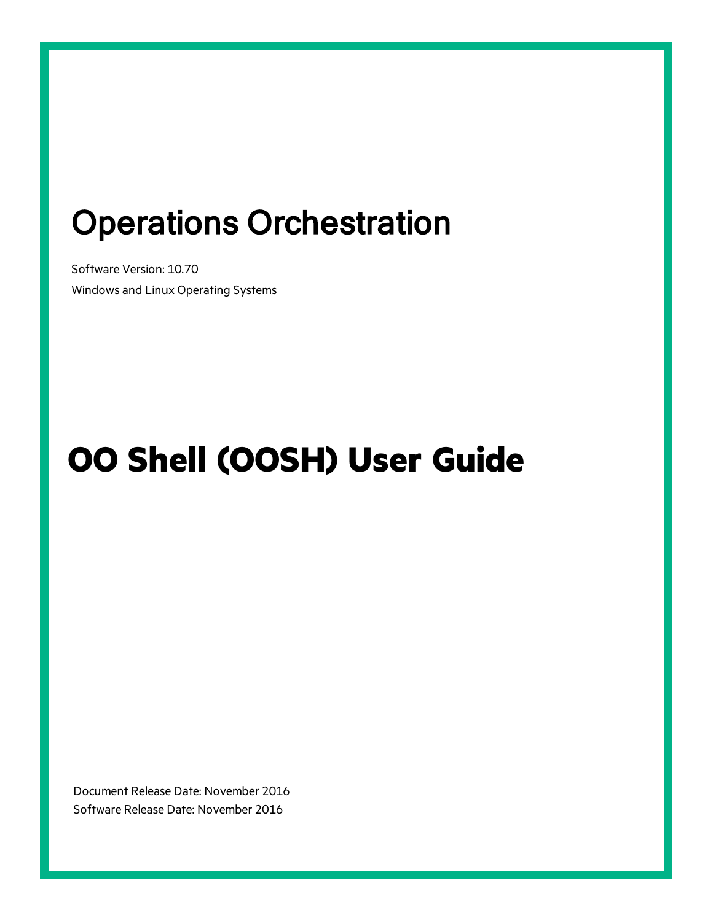## Operations Orchestration

Software Version: 10.70 Windows and Linux Operating Systems

# **OO Shell (OOSH) User Guide**

Document Release Date: November 2016 Software Release Date: November 2016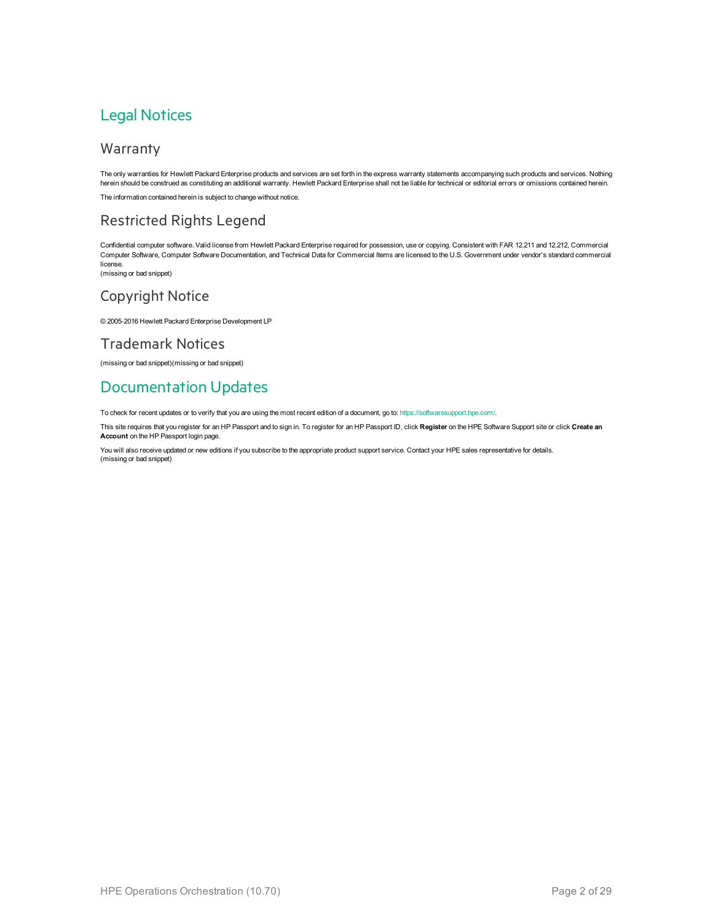#### Legal Notices

#### Warranty

The only warranties for Hewlett Packard Enterprise products and services are set forth in the express warranty statements accompanying such products and services. Nothing herein should be construed as constituting an additional warranty. Hewlett Packard Enterprise shall not be liable for technical or editorial errors or omissions contained herein. The information contained herein is subject to change without notice.

#### Restricted Rights Legend

Confidential computer software. Valid license from Hewlett Packard Enterprise required for possession, use or copying. Consistent with FAR 12.211 and 12.212, Commercial Computer Software, Computer Software Documentation, and Technical Data for Commercial Items are licensed to the U.S. Government under vendor's standard commercial license.

(missing or bad snippet)

#### Copyright Notice

© 2005-2016 Hewlett Packard Enterprise Development LP

#### Trademark Notices

(missing or bad snippet)(missing or bad snippet)

#### Documentation Updates

To check for recent updates or to verify that you are using the most recent edition of a document, go to: <https://softwaresupport.hpe.com/>.

This site requires that you register for an HP Passport and to sign in. To register for an HP Passport ID, click **Register** on the HPE Software Support site or click **Create an Account** on the HP Passport login page.

You will also receive updated or new editions if you subscribe to the appropriate product support service. Contact your HPE sales representative for details. (missing or bad snippet)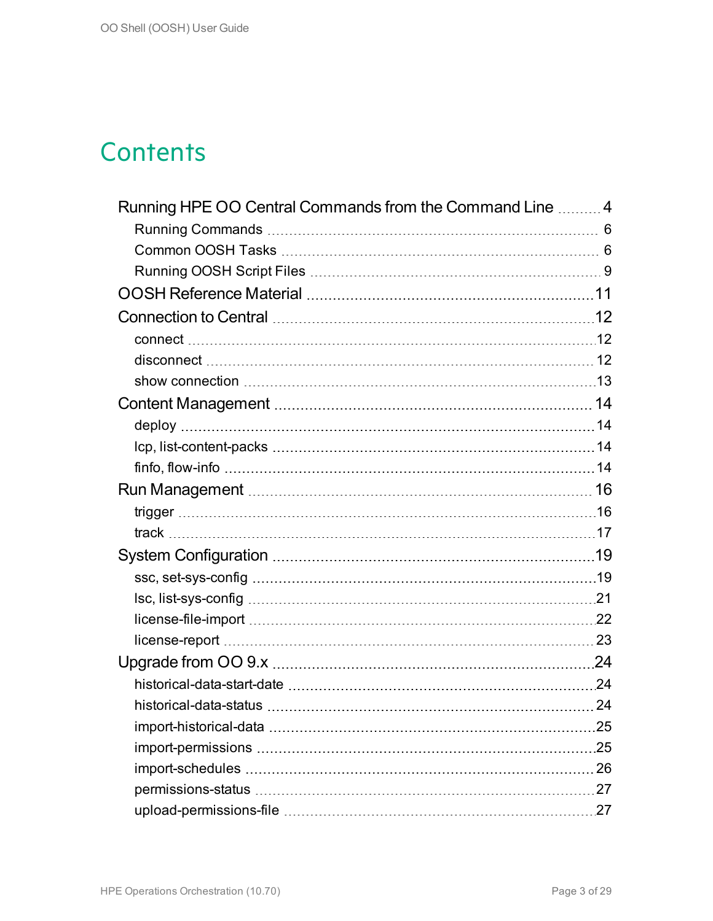### **Contents**

| Running HPE OO Central Commands from the Command Line  4 |     |
|----------------------------------------------------------|-----|
|                                                          |     |
|                                                          |     |
|                                                          |     |
|                                                          |     |
|                                                          |     |
|                                                          |     |
|                                                          |     |
|                                                          |     |
|                                                          | 14  |
|                                                          |     |
|                                                          |     |
|                                                          |     |
|                                                          |     |
|                                                          |     |
|                                                          |     |
|                                                          |     |
|                                                          |     |
|                                                          |     |
|                                                          |     |
|                                                          |     |
|                                                          |     |
|                                                          |     |
|                                                          |     |
|                                                          | .25 |
|                                                          |     |
|                                                          |     |
|                                                          |     |
|                                                          |     |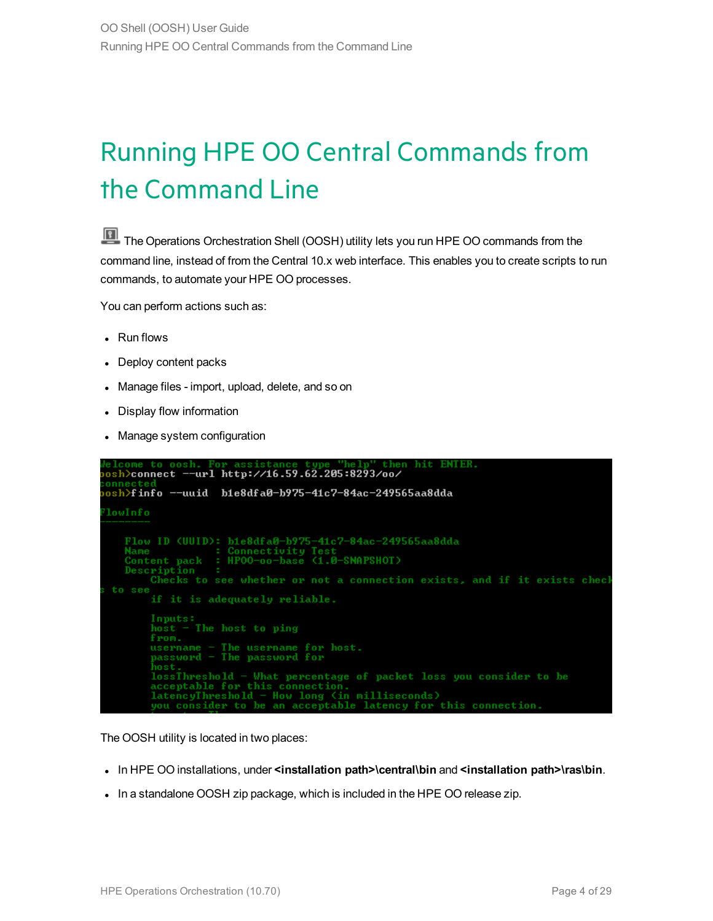## <span id="page-3-0"></span>Running HPE OO Central Commands from the Command Line

The Operations Orchestration Shell (OOSH) utility lets you run HPE OO commands from the command line, instead of from the Central 10.x web interface. This enables you to create scripts to run commands, to automate your HPE OO processes.

You can perform actions such as:

• Run flows

```
• Deploy content packs
```
- Manage files import, upload, delete, and so on
- Display flow information
- Manage system configuration

```
osh>connect --url http://16.59.62.205:8293/oo/
osh>finfo --uuid b1e8dfa0-b975-41c7-84ac-249565aa8dda
lowInfo
    Flow ID (UUID): bie8dfa0-b975-41c7-84ac-249565aa8dda
    Name<br>
Content pack : HPOO-oo-base (1.0-SNAPSHOT)
    Description<br>Checks to see whether or not a connection exists, and if it exists check<br>Checks to see whether or not a connection exists, and if it exists check
 to see
          if it is adequately reliable.
          Inputs:
          host - The host to ping
         from.<br>username - The username for host.<br>password - The password for<br>host...
          from.
          lossThreshold - What percentage of packet loss you consider to be<br>acceptable for this connection.<br>latencyThreshold - How long (in milliseconds)
          you consider to be an acceptable latency for this connection
```
The OOSH utility is located in two places:

- <sup>l</sup> In HPE OO installations, under **<installation path>\central\bin** and **<installation path>\ras\bin**.
- In a standalone OOSH zip package, which is included in the HPE OO release zip.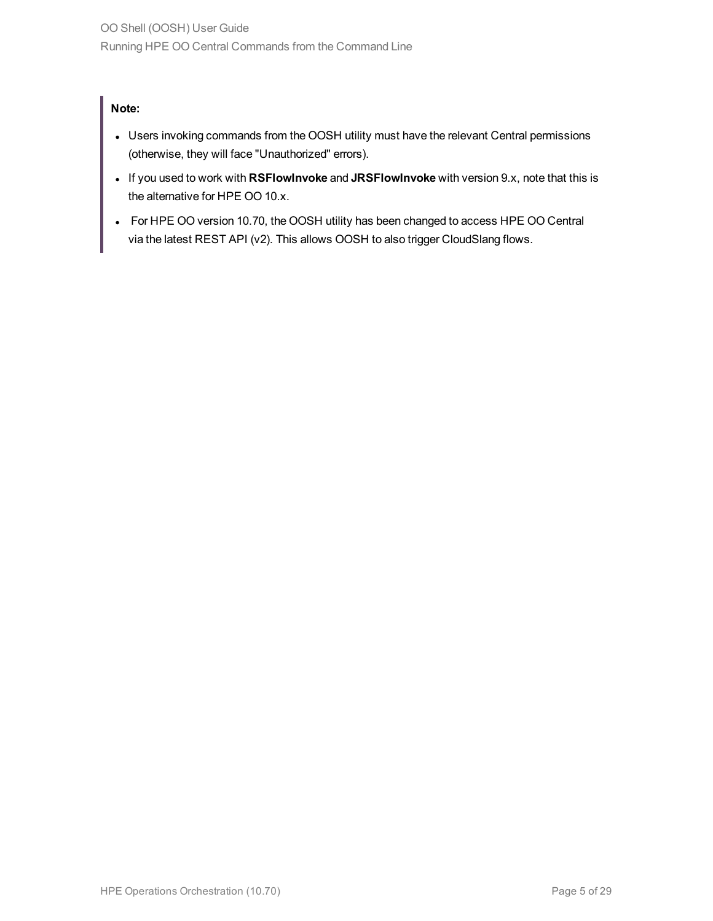#### **Note:**

- Users invoking commands from the OOSH utility must have the relevant Central permissions (otherwise, they will face "Unauthorized" errors).
- <sup>l</sup> If you used to work with **RSFlowInvoke** and **JRSFlowInvoke** with version 9.x, note that this is the alternative for HPE OO 10.x.
- For HPE OO version 10.70, the OOSH utility has been changed to access HPE OO Central via the latest REST API (v2). This allows OOSH to also trigger CloudSlang flows.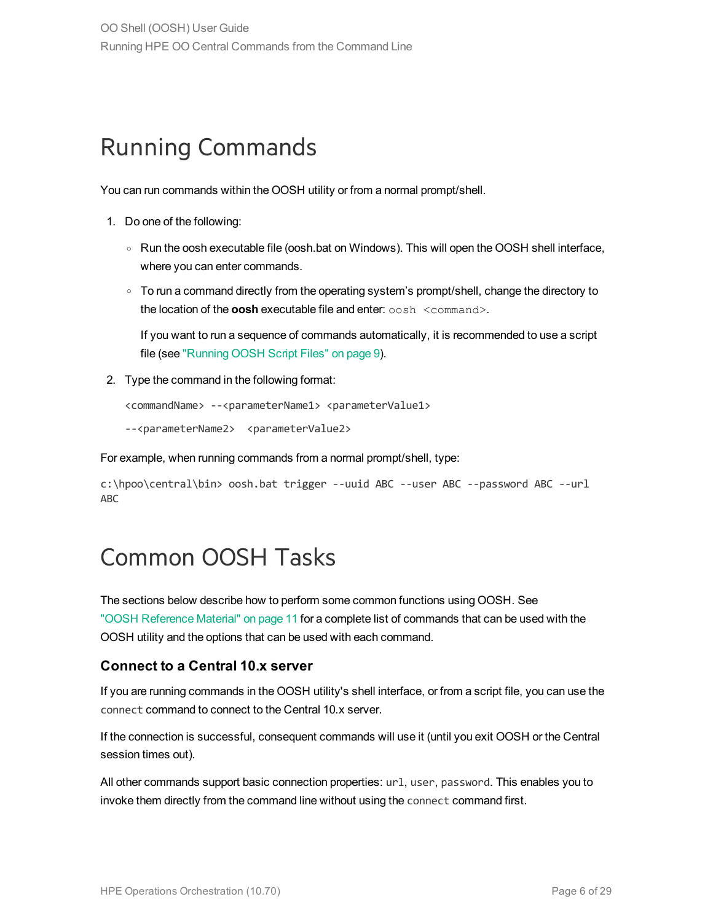#### <span id="page-5-0"></span>Running Commands

You can run commands within the OOSH utility or from a normal prompt/shell.

- 1. Do one of the following:
	- Run the oosh executable file (oosh.bat on Windows). This will open the OOSH shell interface, where you can enter commands.
	- $\circ$  To run a command directly from the operating system's prompt/shell, change the directory to the location of the **oosh** executable file and enter: oosh <command>.

If you want to run a sequence of commands automatically, it is recommended to use a script file (see "Running [OOSH Script](#page-8-0) Files" on page 9).

2. Type the command in the following format:

```
<commandName> --<parameterName1> <parameterValue1>
```
--<parameterName2> <parameterValue2>

For example, when running commands from a normal prompt/shell, type:

```
c:\hpoo\central\bin> oosh.bat trigger --uuid ABC --user ABC --password ABC --url
ABC
```
#### <span id="page-5-1"></span>Common OOSH Tasks

The sections below describe how to perform some common functions using OOSH. See ["OOSH Reference](#page-10-0) Material" on page 11 for a complete list of commands that can be used with the OOSH utility and the options that can be used with each command.

#### **Connect to a Central 10.x server**

If you are running commands in the OOSH utility's shell interface, or from a script file, you can use the connect command to connect to the Central 10.x server.

If the connection is successful, consequent commands will use it (until you exit OOSH or the Central session times out).

All other commands support basic connection properties: url, user, password. This enables you to invoke them directly from the command line without using the connect command first.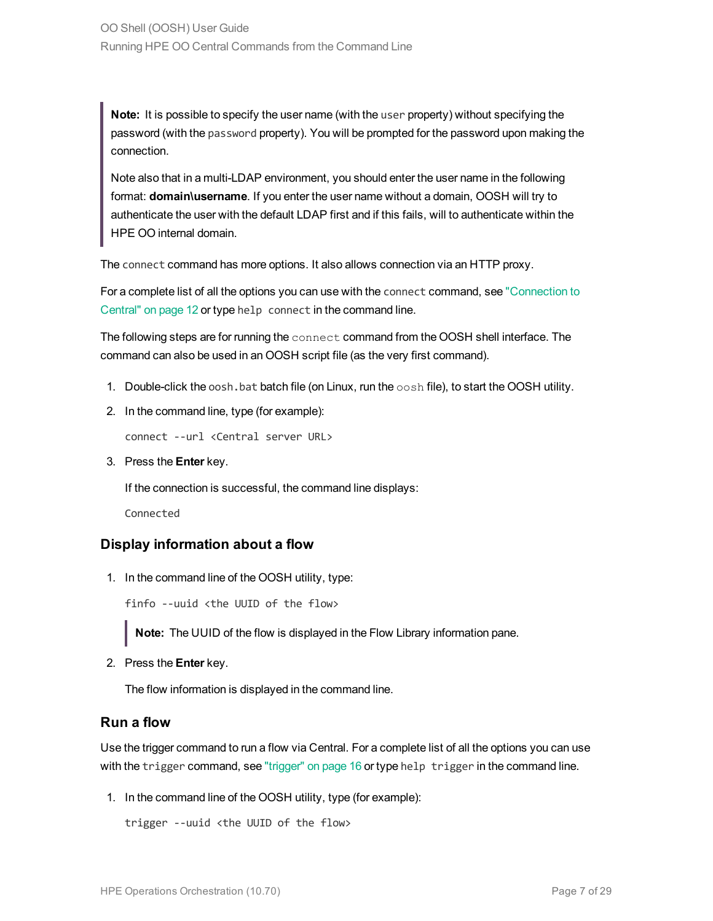**Note:** It is possible to specify the user name (with the user property) without specifying the password (with the password property). You will be prompted for the password upon making the connection.

Note also that in a multi-LDAP environment, you should enter the user name in the following format: **domain\username**. If you enter the user name without a domain, OOSH will try to authenticate the user with the default LDAP first and if this fails, will to authenticate within the HPE OO internal domain.

The connect command has more options. It also allows connection via an HTTP proxy.

For a complete list of all the options you can use with the connect command, see ["Connection](#page-11-0) to [Central"](#page-11-0) on page 12 or type help connect in the command line.

The following steps are for running the connect command from the OOSH shell interface. The command can also be used in an OOSH script file (as the very first command).

- 1. Double-click the oosh, bat batch file (on Linux, run the  $\cosh$  file), to start the OOSH utility.
- 2. In the command line, type (for example):

connect --url <Central server URL>

3. Press the **Enter** key.

If the connection is successful, the command line displays:

Connected

#### **Display information about a flow**

1. In the command line of the OOSH utility, type:

finfo --uuid <the UUID of the flow>

**Note:** The UUID of the flow is displayed in the Flow Library information pane.

2. Press the **Enter** key.

The flow information is displayed in the command line.

#### **Run a flow**

Use the trigger command to run a flow via Central. For a complete list of all the options you can use with the trigger command, see ["trigger"](#page-15-1) on page 16 or type help trigger in the command line.

1. In the command line of the OOSH utility, type (for example):

trigger --uuid <the UUID of the flow>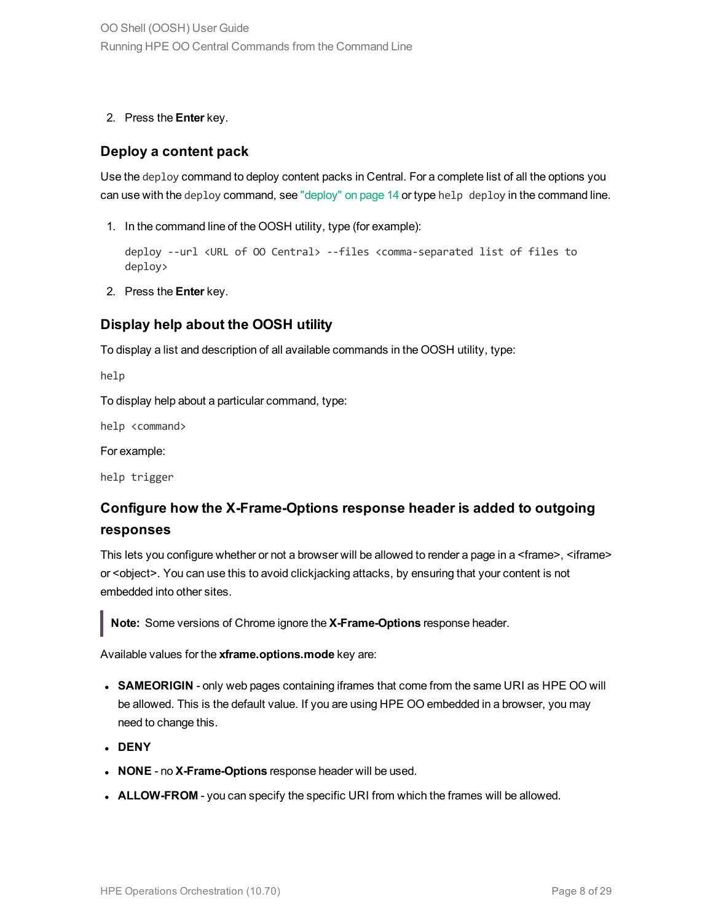2. Press the **Enter** key.

#### **Deploy a content pack**

Use the deploy command to deploy content packs in Central. For a complete list of all the options you can use with the deploy command, see ["deploy"](#page-13-1) on page 14 or type help deploy in the command line.

1. In the command line of the OOSH utility, type (for example):

deploy --url <URL of OO Central> --files <comma-separated list of files to deploy>

2. Press the **Enter** key.

#### **Display help about the OOSH utility**

To display a list and description of all available commands in the OOSH utility, type:

help

To display help about a particular command, type:

help <command>

For example:

help trigger

#### **Configure how the X-Frame-Options response header is added to outgoing responses**

This lets you configure whether or not a browser will be allowed to render a page in a <frame>, <iframe> or <object>. You can use this to avoid clickjacking attacks, by ensuring that your content is not embedded into other sites.

**Note:** Some versions of Chrome ignore the **X-Frame-Options** response header.

Available values for the **xframe.options.mode** key are:

- **SAMEORIGIN** only web pages containing iframes that come from the same URI as HPE OO will be allowed. This is the default value. If you are using HPE OO embedded in a browser, you may need to change this.
- <sup>l</sup> **DENY**
- **NONE** no **X-Frame-Options** response header will be used.
- **ALLOW-FROM** you can specify the specific URI from which the frames will be allowed.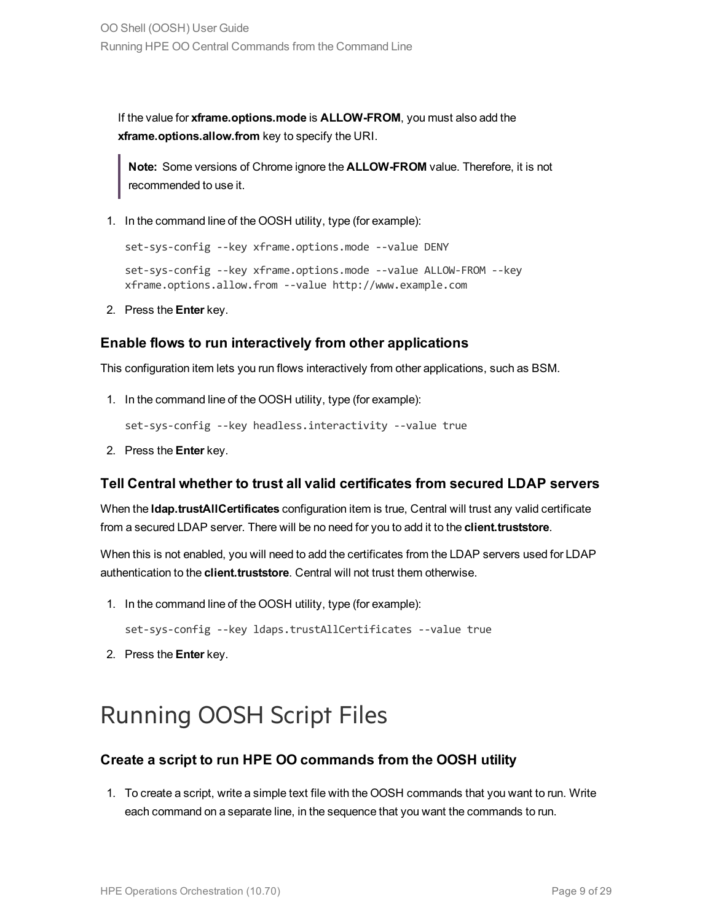If the value for **xframe.options.mode** is **ALLOW-FROM**, you must also add the **xframe.options.allow.from** key to specify the URI.

**Note:** Some versions of Chrome ignore the **ALLOW-FROM** value. Therefore, it is not recommended to use it.

1. In the command line of the OOSH utility, type (for example):

```
set-sys-config --key xframe.options.mode --value DENY
set-sys-config --key xframe.options.mode --value ALLOW-FROM --key
xframe.options.allow.from --value http://www.example.com
```
2. Press the **Enter** key.

#### **Enable flows to run interactively from other applications**

This configuration item lets you run flows interactively from other applications, such as BSM.

1. In the command line of the OOSH utility, type (for example):

```
set-sys-config --key headless.interactivity --value true
```
2. Press the **Enter** key.

#### **Tell Central whether to trust all valid certificates from secured LDAP servers**

When the **ldap.trustAllCertificates** configuration item is true, Central will trust any valid certificate from a secured LDAP server. There will be no need for you to add it to the **client.truststore**.

When this is not enabled, you will need to add the certificates from the LDAP servers used for LDAP authentication to the **client.truststore**. Central will not trust them otherwise.

1. In the command line of the OOSH utility, type (for example):

set-sys-config --key ldaps.trustAllCertificates --value true

<span id="page-8-0"></span>2. Press the **Enter** key.

#### Running OOSH Script Files

#### **Create a script to run HPE OO commands from the OOSH utility**

1. To create a script, write a simple text file with the OOSH commands that you want to run. Write each command on a separate line, in the sequence that you want the commands to run.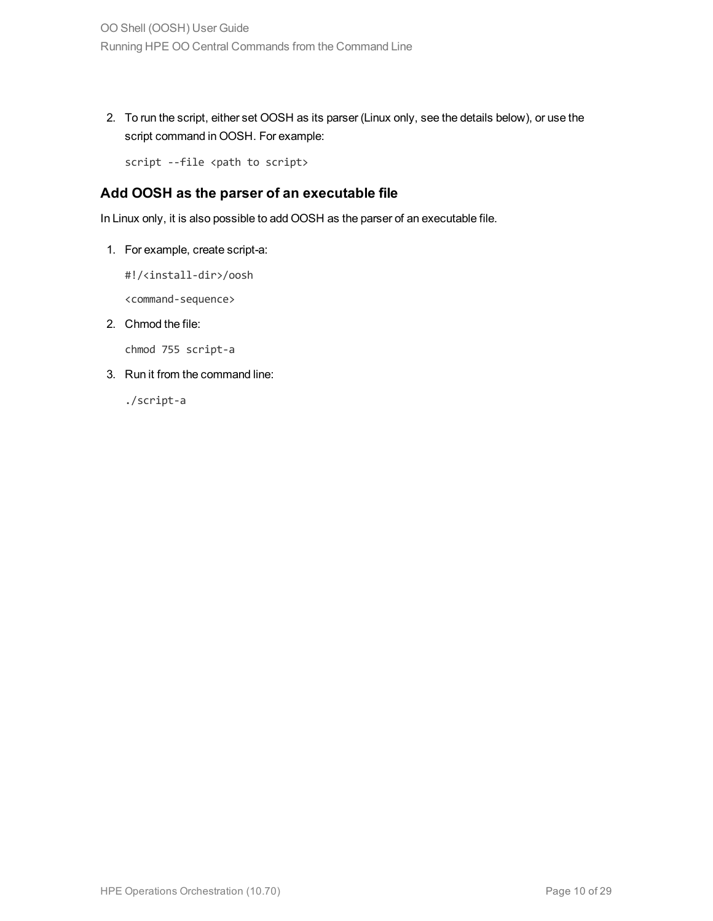2. To run the script, either set OOSH as its parser (Linux only, see the details below), or use the script command in OOSH. For example:

script --file <path to script>

#### **Add OOSH as the parser of an executable file**

In Linux only, it is also possible to add OOSH as the parser of an executable file.

1. For example, create script-a:

#!/<install-dir>/oosh

<command-sequence>

2. Chmod the file:

chmod 755 script-a

3. Run it from the command line:

./script-a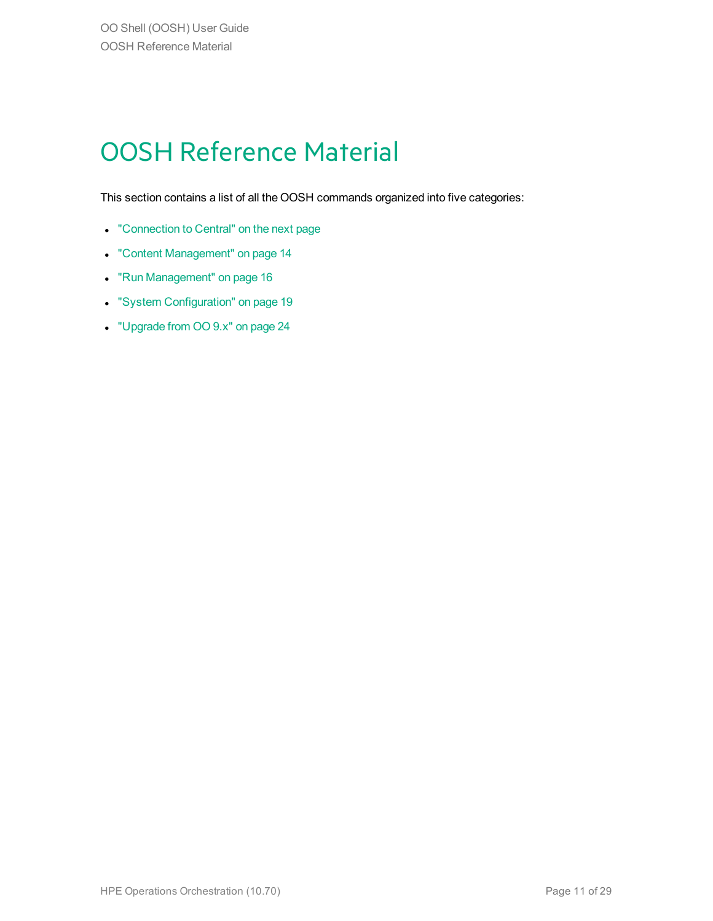## <span id="page-10-0"></span>OOSH Reference Material

This section contains a list of all the OOSH commands organized into five categories:

- ["Connection](#page-11-0) to Central" on the next page
- <sup>l</sup> "Content [Management"](#page-13-0) on page 14
- "Run [Management"](#page-15-0) on page 16
- **.** "System [Configuration"](#page-18-0) on page 19
- <sup>l</sup> ["Upgrade](#page-23-0) from OO 9.x" on page 24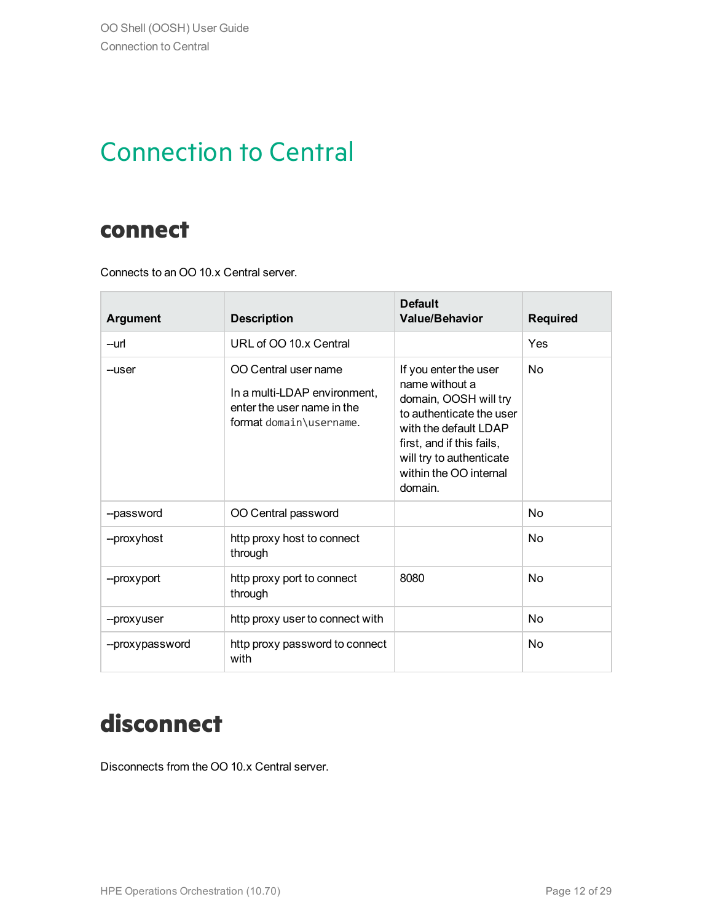### <span id="page-11-0"></span>Connection to Central

#### <span id="page-11-1"></span>**connect**

Connects to an OO 10.x Central server.

| <b>Argument</b> | <b>Description</b>                                                                                            | <b>Default</b><br><b>Value/Behavior</b>                                                                                                                                                                             | <b>Required</b> |
|-----------------|---------------------------------------------------------------------------------------------------------------|---------------------------------------------------------------------------------------------------------------------------------------------------------------------------------------------------------------------|-----------------|
| --url           | URL of OO 10 x Central                                                                                        |                                                                                                                                                                                                                     | Yes             |
| --user          | OO Central user name<br>In a multi-LDAP environment,<br>enter the user name in the<br>format domain\username. | If you enter the user<br>name without a<br>domain, OOSH will try<br>to authenticate the user<br>with the default LDAP<br>first, and if this fails,<br>will try to authenticate<br>within the OO internal<br>domain. | No              |
| --password      | OO Central password                                                                                           |                                                                                                                                                                                                                     | No              |
| --proxyhost     | http proxy host to connect<br>through                                                                         |                                                                                                                                                                                                                     | No              |
| --proxyport     | http proxy port to connect<br>through                                                                         | 8080                                                                                                                                                                                                                | No              |
| --proxyuser     | http proxy user to connect with                                                                               |                                                                                                                                                                                                                     | No              |
| --proxypassword | http proxy password to connect<br>with                                                                        |                                                                                                                                                                                                                     | No              |

### <span id="page-11-2"></span>**disconnect**

Disconnects from the OO 10.x Central server.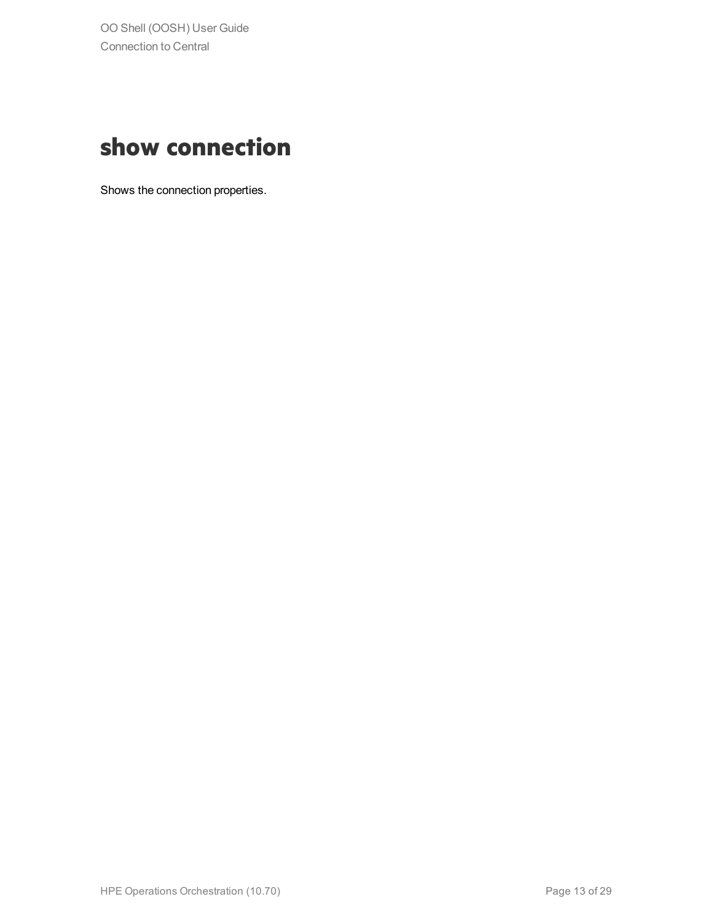### <span id="page-12-0"></span>**show connection**

Shows the connection properties.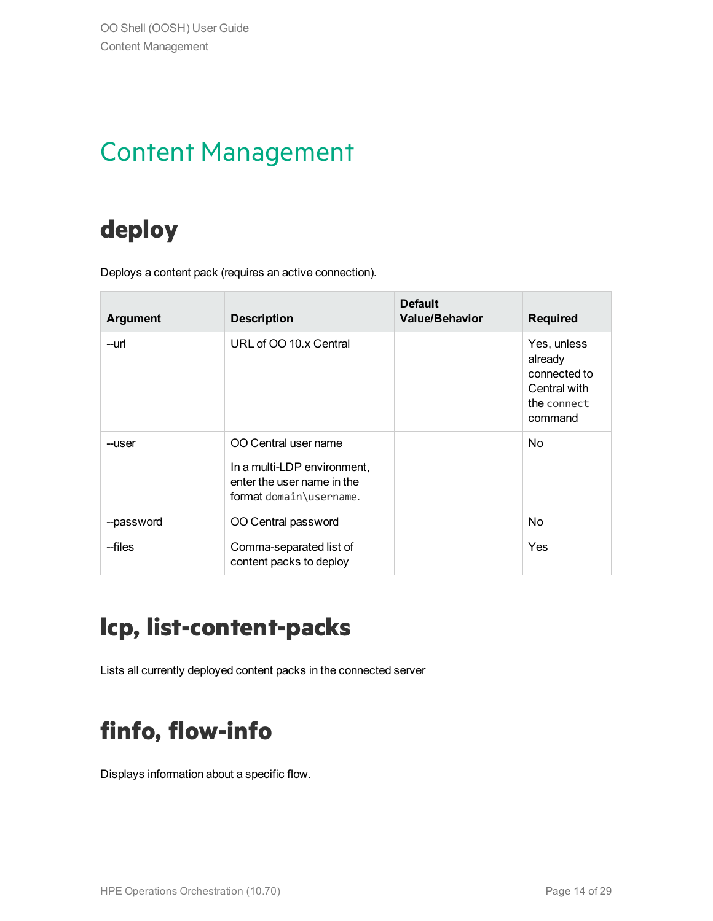### <span id="page-13-0"></span>Content Management

### <span id="page-13-1"></span>**deploy**

Deploys a content pack (requires an active connection).

| <b>Argument</b> | <b>Description</b>                                                                                           | <b>Default</b><br><b>Value/Behavior</b> | <b>Required</b>                                                                  |
|-----------------|--------------------------------------------------------------------------------------------------------------|-----------------------------------------|----------------------------------------------------------------------------------|
| --url           | URL of OO 10.x Central                                                                                       |                                         | Yes, unless<br>already<br>connected to<br>Central with<br>the connect<br>command |
| --user          | OO Central user name<br>In a multi-LDP environment,<br>enter the user name in the<br>format domain\username. |                                         | No.                                                                              |
| --password      | OO Central password                                                                                          |                                         | No.                                                                              |
| --files         | Comma-separated list of<br>content packs to deploy                                                           |                                         | Yes                                                                              |

### <span id="page-13-2"></span>**lcp, list-content-packs**

<span id="page-13-3"></span>Lists all currently deployed content packs in the connected server

### **finfo, flow-info**

Displays information about a specific flow.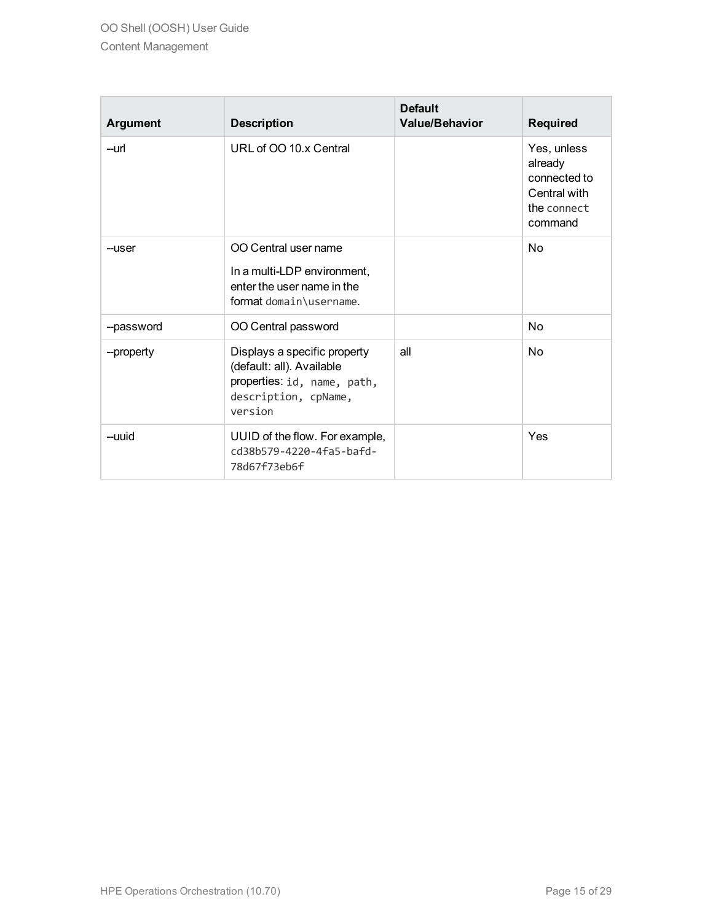| <b>Argument</b> | <b>Description</b>                                                                                                          | <b>Default</b><br><b>Value/Behavior</b> | <b>Required</b>                                                                  |
|-----------------|-----------------------------------------------------------------------------------------------------------------------------|-----------------------------------------|----------------------------------------------------------------------------------|
| --url           | URL of OO 10 x Central                                                                                                      |                                         | Yes, unless<br>already<br>connected to<br>Central with<br>the connect<br>command |
| --user          | OO Central user name<br>In a multi-LDP environment,<br>enter the user name in the<br>format domain\username.                |                                         | No                                                                               |
| --password      | OO Central password                                                                                                         |                                         | No                                                                               |
| --property      | Displays a specific property<br>(default: all). Available<br>properties: id, name, path,<br>description, cpName,<br>version | all                                     | No                                                                               |
| --uuid          | UUID of the flow. For example,<br>cd38b579-4220-4fa5-bafd-<br>78d67f73eb6f                                                  |                                         | Yes                                                                              |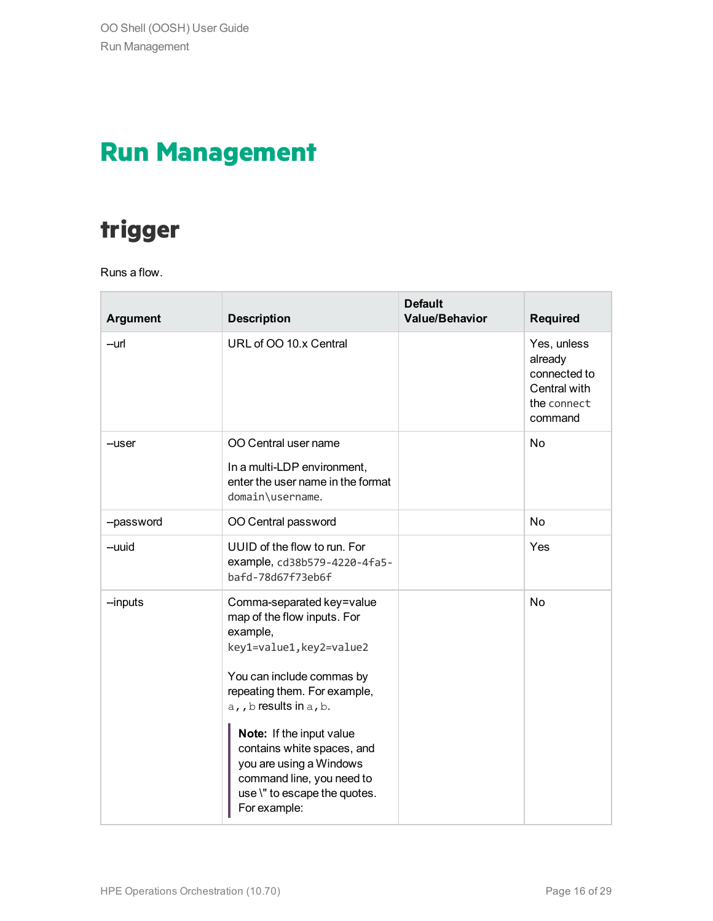### <span id="page-15-0"></span>**Run Management**

### <span id="page-15-1"></span>**trigger**

Runs a flow.

| <b>Argument</b> | <b>Description</b>                                                                                                                                                                                                                                                                                                                                        | <b>Default</b><br><b>Value/Behavior</b> | <b>Required</b>                                                                  |
|-----------------|-----------------------------------------------------------------------------------------------------------------------------------------------------------------------------------------------------------------------------------------------------------------------------------------------------------------------------------------------------------|-----------------------------------------|----------------------------------------------------------------------------------|
| --url           | URL of OO 10.x Central                                                                                                                                                                                                                                                                                                                                    |                                         | Yes, unless<br>already<br>connected to<br>Central with<br>the connect<br>command |
| --user          | OO Central user name<br>In a multi-LDP environment,<br>enter the user name in the format<br>domain\username.                                                                                                                                                                                                                                              |                                         | <b>No</b>                                                                        |
| --password      | OO Central password                                                                                                                                                                                                                                                                                                                                       |                                         | <b>No</b>                                                                        |
| --uuid          | UUID of the flow to run. For<br>example, cd38b579-4220-4fa5-<br>bafd-78d67f73eb6f                                                                                                                                                                                                                                                                         |                                         | Yes                                                                              |
| --inputs        | Comma-separated key=value<br>map of the flow inputs. For<br>example,<br>key1=value1, key2=value2<br>You can include commas by<br>repeating them. For example,<br>a,, b results in a, b.<br>Note: If the input value<br>contains white spaces, and<br>you are using a Windows<br>command line, you need to<br>use \" to escape the quotes.<br>For example: |                                         | No                                                                               |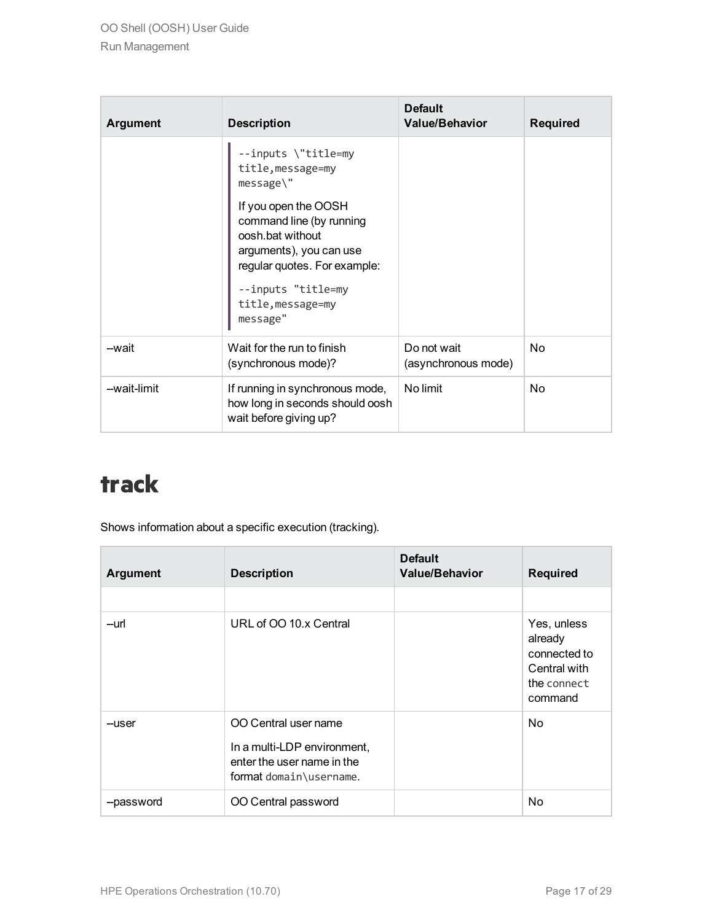| <b>Argument</b> | <b>Description</b>                                                                                                                                                                     | <b>Default</b><br><b>Value/Behavior</b> | <b>Required</b> |
|-----------------|----------------------------------------------------------------------------------------------------------------------------------------------------------------------------------------|-----------------------------------------|-----------------|
|                 | --inputs \"title=my<br>title, message=my<br>message\"                                                                                                                                  |                                         |                 |
|                 | If you open the OOSH<br>command line (by running<br>oosh.bat without<br>arguments), you can use<br>regular quotes. For example:<br>--inputs "title=my<br>title, message=my<br>message" |                                         |                 |
| -wait           | Wait for the run to finish<br>(synchronous mode)?                                                                                                                                      | Do not wait<br>(asynchronous mode)      | N <sub>o</sub>  |
| --wait-limit    | If running in synchronous mode,<br>how long in seconds should oosh<br>wait before giving up?                                                                                           | No limit                                | N <sub>o</sub>  |

### <span id="page-16-0"></span>**track**

Shows information about a specific execution (tracking).

| <b>Argument</b> | <b>Description</b>                                                                                           | <b>Default</b><br><b>Value/Behavior</b> | <b>Required</b>                                                                  |
|-----------------|--------------------------------------------------------------------------------------------------------------|-----------------------------------------|----------------------------------------------------------------------------------|
|                 |                                                                                                              |                                         |                                                                                  |
| --url           | URL of OO 10.x Central                                                                                       |                                         | Yes, unless<br>already<br>connected to<br>Central with<br>the connect<br>command |
| --user          | OO Central user name<br>In a multi-LDP environment,<br>enter the user name in the<br>format domain\username. |                                         | N <sub>o</sub>                                                                   |
| --password      | OO Central password                                                                                          |                                         | No                                                                               |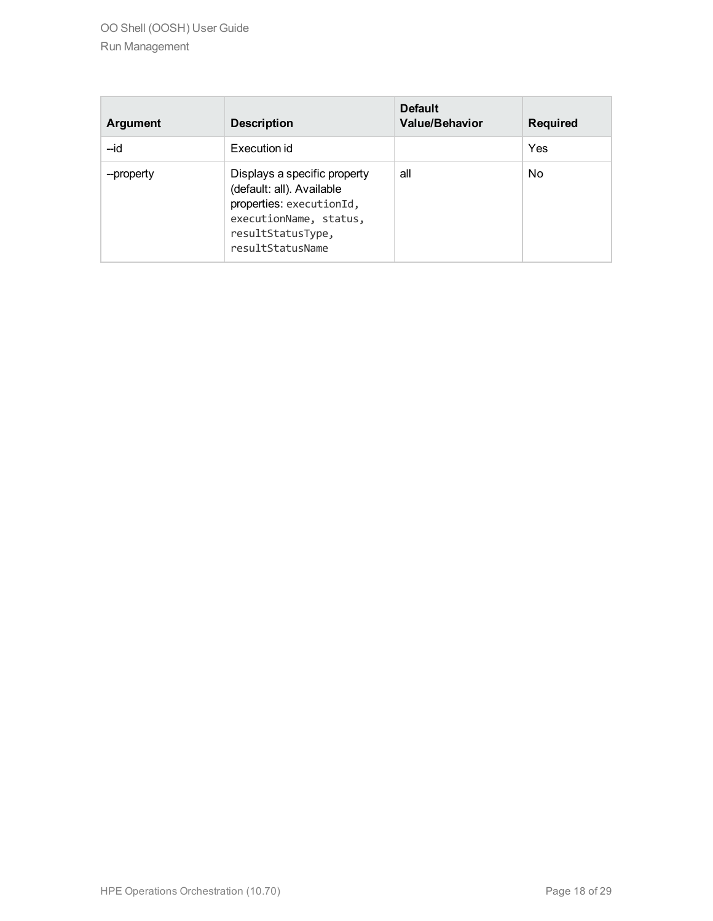OO Shell (OOSH) User Guide Run Management

| Argument   | <b>Description</b>                                                                                                                                       | <b>Default</b><br><b>Value/Behavior</b> | <b>Required</b> |
|------------|----------------------------------------------------------------------------------------------------------------------------------------------------------|-----------------------------------------|-----------------|
| $-id$      | Execution id                                                                                                                                             |                                         | Yes             |
| --property | Displays a specific property<br>(default: all). Available<br>properties: executionId,<br>executionName, status,<br>resultStatusType,<br>resultStatusName | all                                     | No.             |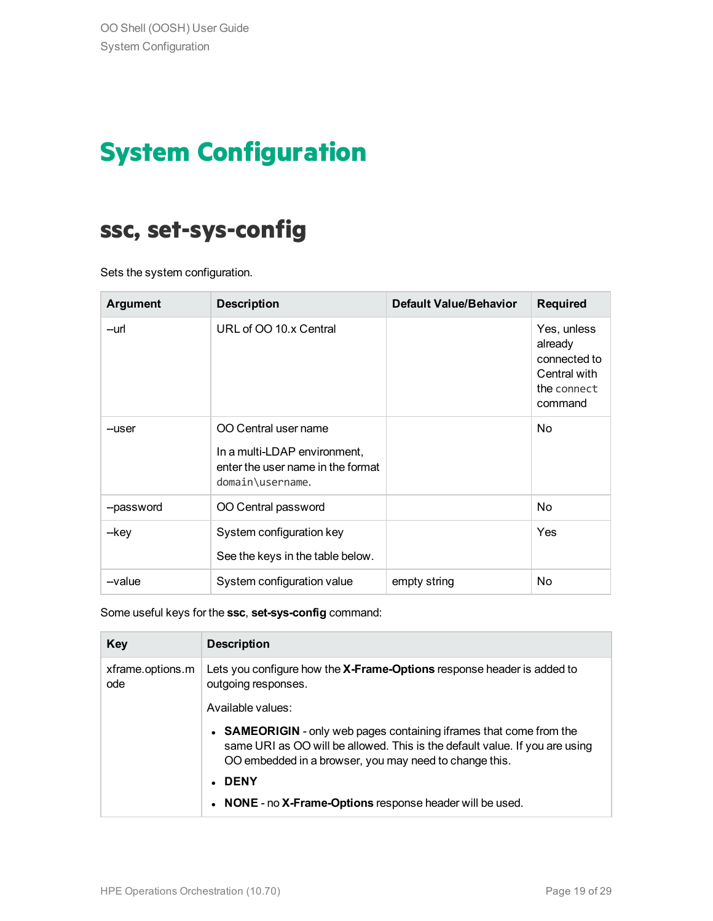## <span id="page-18-0"></span>**System Configuration**

#### <span id="page-18-1"></span>**ssc, set-sys-config**

Sets the system configuration.

| <b>Argument</b> | <b>Description</b>                                                                                            | <b>Default Value/Behavior</b> | <b>Required</b>                                                                  |
|-----------------|---------------------------------------------------------------------------------------------------------------|-------------------------------|----------------------------------------------------------------------------------|
| --url           | URL of OO 10.x Central                                                                                        |                               | Yes, unless<br>already<br>connected to<br>Central with<br>the connect<br>command |
| --user          | OO Central user name<br>In a multi-LDAP environment,<br>enter the user name in the format<br>domain\username. |                               | N <sub>o</sub>                                                                   |
| --password      | OO Central password                                                                                           |                               | No                                                                               |
| --key           | System configuration key<br>See the keys in the table below.                                                  |                               | Yes                                                                              |
| --value         | System configuration value                                                                                    | empty string                  | N <sub>o</sub>                                                                   |

#### Some useful keys for the **ssc**, **set-sys-config** command:

| <b>Key</b>              | <b>Description</b>                                                                                                                                                                                            |
|-------------------------|---------------------------------------------------------------------------------------------------------------------------------------------------------------------------------------------------------------|
| xframe.options.m<br>ode | Lets you configure how the X-Frame-Options response header is added to<br>outgoing responses.                                                                                                                 |
|                         | Available values:                                                                                                                                                                                             |
|                         | • SAMEORIGIN - only web pages containing if rames that come from the<br>same URI as OO will be allowed. This is the default value. If you are using<br>OO embedded in a browser, you may need to change this. |
|                         | . DENY                                                                                                                                                                                                        |
|                         | • NONE - no X-Frame-Options response header will be used.                                                                                                                                                     |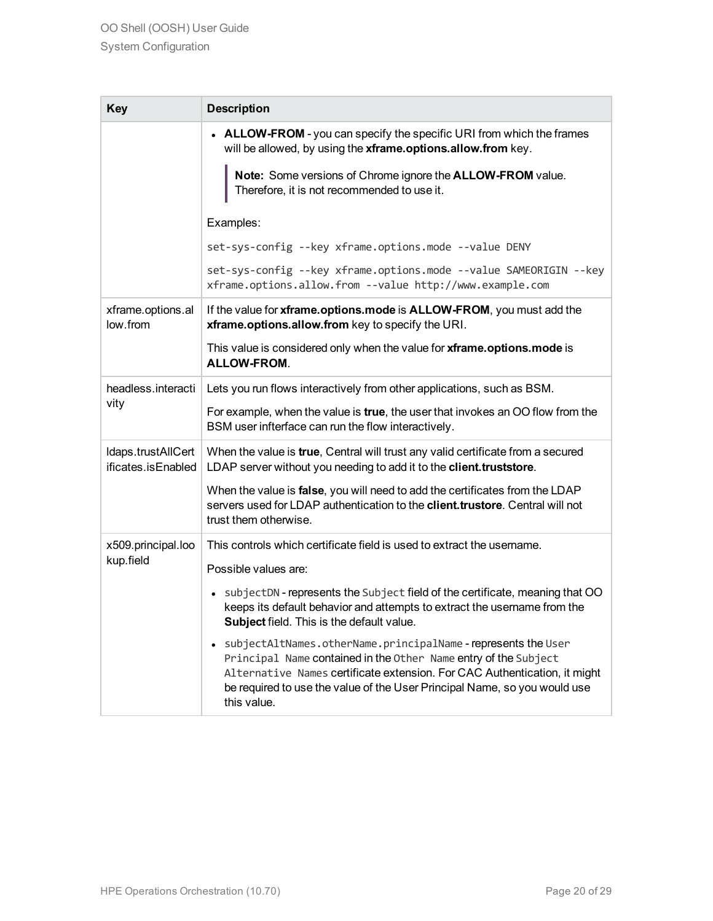| <b>Key</b>                               | <b>Description</b>                                                                                                                                                                                                                                                                                                   |
|------------------------------------------|----------------------------------------------------------------------------------------------------------------------------------------------------------------------------------------------------------------------------------------------------------------------------------------------------------------------|
|                                          | <b>ALLOW-FROM</b> - you can specify the specific URI from which the frames<br>$\bullet$<br>will be allowed, by using the xframe.options.allow.from key.                                                                                                                                                              |
|                                          | Note: Some versions of Chrome ignore the ALLOW-FROM value.<br>Therefore, it is not recommended to use it.                                                                                                                                                                                                            |
|                                          | Examples:                                                                                                                                                                                                                                                                                                            |
|                                          | set-sys-config --key xframe.options.mode --value DENY                                                                                                                                                                                                                                                                |
|                                          | set-sys-config --key xframe.options.mode --value SAMEORIGIN --key<br>xframe.options.allow.from --value http://www.example.com                                                                                                                                                                                        |
| xframe.options.al<br>low.from            | If the value for xframe.options.mode is ALLOW-FROM, you must add the<br>xframe.options.allow.from key to specify the URI.                                                                                                                                                                                            |
|                                          | This value is considered only when the value for xframe.options.mode is<br><b>ALLOW-FROM.</b>                                                                                                                                                                                                                        |
| headless.interacti                       | Lets you run flows interactively from other applications, such as BSM.                                                                                                                                                                                                                                               |
| vity                                     | For example, when the value is true, the user that invokes an OO flow from the<br>BSM user infterface can run the flow interactively.                                                                                                                                                                                |
| Idaps.trustAllCert<br>ificates.isEnabled | When the value is true, Central will trust any valid certificate from a secured<br>LDAP server without you needing to add it to the client.truststore.                                                                                                                                                               |
|                                          | When the value is false, you will need to add the certificates from the LDAP<br>servers used for LDAP authentication to the client.trustore. Central will not<br>trust them otherwise.                                                                                                                               |
| x509.principal.loo                       | This controls which certificate field is used to extract the username.                                                                                                                                                                                                                                               |
| kup.field                                | Possible values are:                                                                                                                                                                                                                                                                                                 |
|                                          | subjectDN - represents the Subject field of the certificate, meaning that OO<br>$\bullet$<br>keeps its default behavior and attempts to extract the username from the<br><b>Subject</b> field. This is the default value.                                                                                            |
|                                          | subjectAltNames.otherName.principalName-represents the User<br>$\bullet$<br>Principal Name contained in the Other Name entry of the Subject<br>Alternative Names certificate extension. For CAC Authentication, it might<br>be required to use the value of the User Principal Name, so you would use<br>this value. |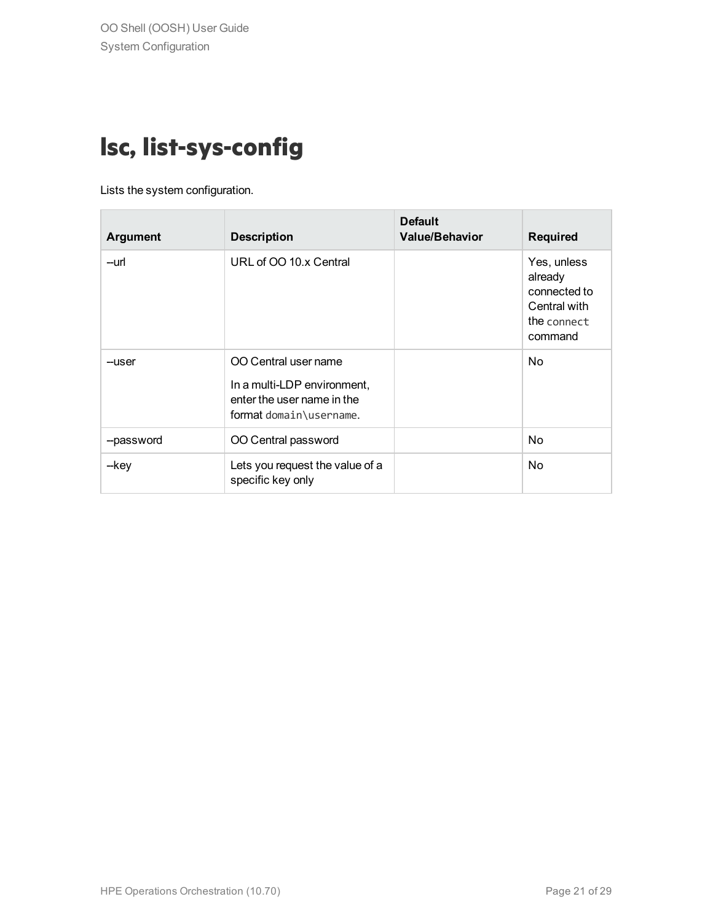### <span id="page-20-0"></span>**lsc, list-sys-config**

Lists the system configuration.

| <b>Argument</b> | <b>Description</b>                                                                                           | <b>Default</b><br><b>Value/Behavior</b> | <b>Required</b>                                                                  |
|-----------------|--------------------------------------------------------------------------------------------------------------|-----------------------------------------|----------------------------------------------------------------------------------|
| --url           | URL of OO 10.x Central                                                                                       |                                         | Yes, unless<br>already<br>connected to<br>Central with<br>the connect<br>command |
| --user          | OO Central user name<br>In a multi-LDP environment,<br>enter the user name in the<br>format domain\username. |                                         | N <sub>o</sub>                                                                   |
| --password      | OO Central password                                                                                          |                                         | N <sub>o</sub>                                                                   |
| --key           | Lets you request the value of a<br>specific key only                                                         |                                         | N <sub>o</sub>                                                                   |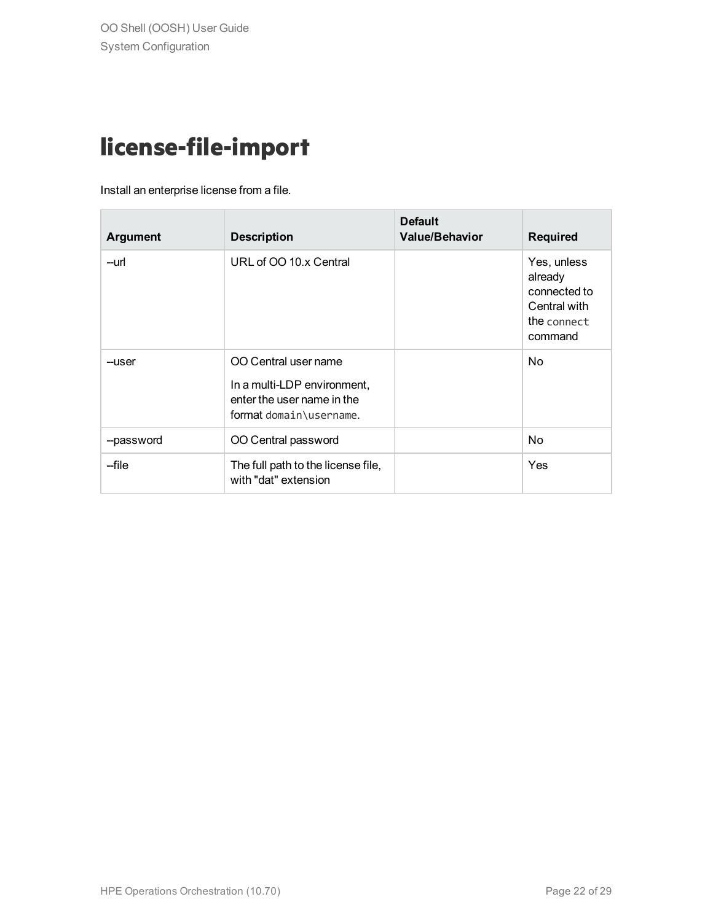### <span id="page-21-0"></span>**license-file-import**

Install an enterprise license from a file.

| <b>Argument</b> | <b>Description</b>                                                                                           | <b>Default</b><br><b>Value/Behavior</b> | <b>Required</b>                                                                  |
|-----------------|--------------------------------------------------------------------------------------------------------------|-----------------------------------------|----------------------------------------------------------------------------------|
| --url           | URL of OO 10.x Central                                                                                       |                                         | Yes, unless<br>already<br>connected to<br>Central with<br>the connect<br>command |
| --user          | OO Central user name<br>In a multi-LDP environment,<br>enter the user name in the<br>format domain\username. |                                         | N <sub>o</sub>                                                                   |
| --password      | OO Central password                                                                                          |                                         | N <sub>o</sub>                                                                   |
| --file          | The full path to the license file,<br>with "dat" extension                                                   |                                         | Yes                                                                              |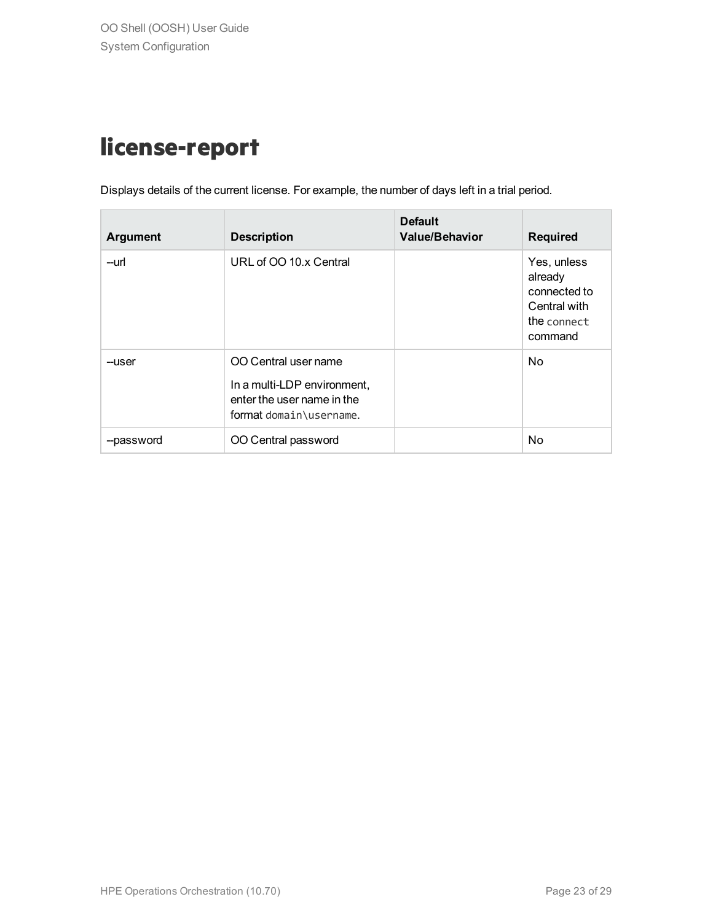### <span id="page-22-0"></span>**license-report**

Displays details of the current license. For example, the number of days left in a trial period.

| <b>Argument</b> | <b>Description</b>                                                                                           | <b>Default</b><br><b>Value/Behavior</b> | <b>Required</b>                                                                  |
|-----------------|--------------------------------------------------------------------------------------------------------------|-----------------------------------------|----------------------------------------------------------------------------------|
| --url           | URL of OO 10.x Central                                                                                       |                                         | Yes, unless<br>already<br>connected to<br>Central with<br>the connect<br>command |
| --user          | OO Central user name<br>In a multi-LDP environment,<br>enter the user name in the<br>format domain\username. |                                         | N <sub>o</sub>                                                                   |
| --password      | OO Central password                                                                                          |                                         | No                                                                               |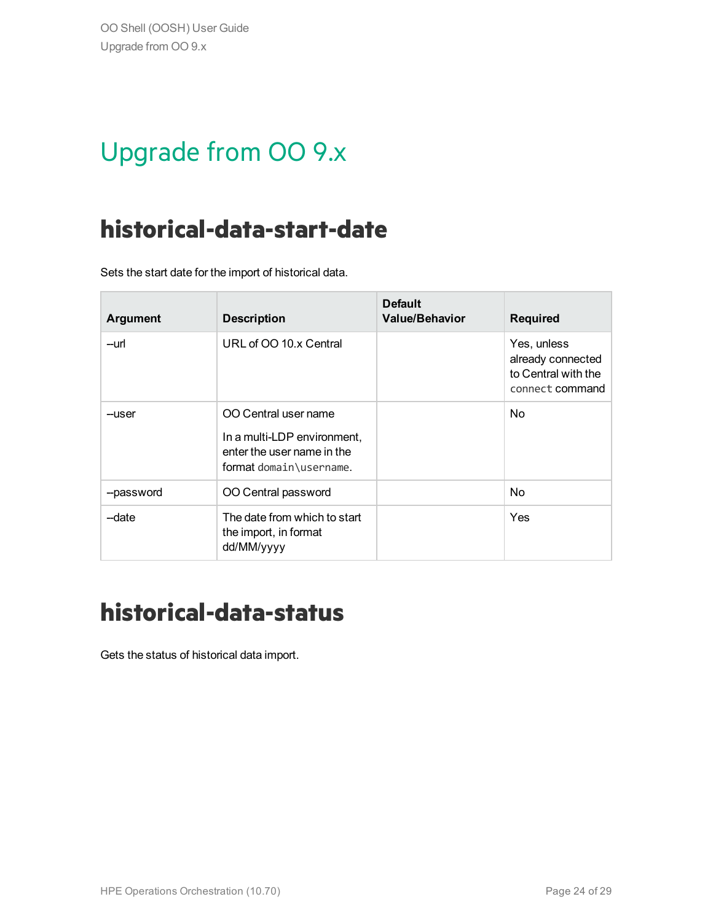## <span id="page-23-0"></span>Upgrade from OO 9.x

### <span id="page-23-1"></span>**historical-data-start-date**

Sets the start date for the import of historical data.

| <b>Argument</b> | <b>Description</b>                                                                                           | <b>Default</b><br><b>Value/Behavior</b> | <b>Required</b>                                                            |
|-----------------|--------------------------------------------------------------------------------------------------------------|-----------------------------------------|----------------------------------------------------------------------------|
| --url           | URL of OO 10.x Central                                                                                       |                                         | Yes, unless<br>already connected<br>to Central with the<br>connect command |
| --user          | OO Central user name<br>In a multi-LDP environment,<br>enter the user name in the<br>format domain\username. |                                         | N <sub>o</sub>                                                             |
| --password      | OO Central password                                                                                          |                                         | N <sub>o</sub>                                                             |
| -date           | The date from which to start<br>the import, in format<br>dd/MM/yyyy                                          |                                         | Yes                                                                        |

#### <span id="page-23-2"></span>**historical-data-status**

Gets the status of historical data import.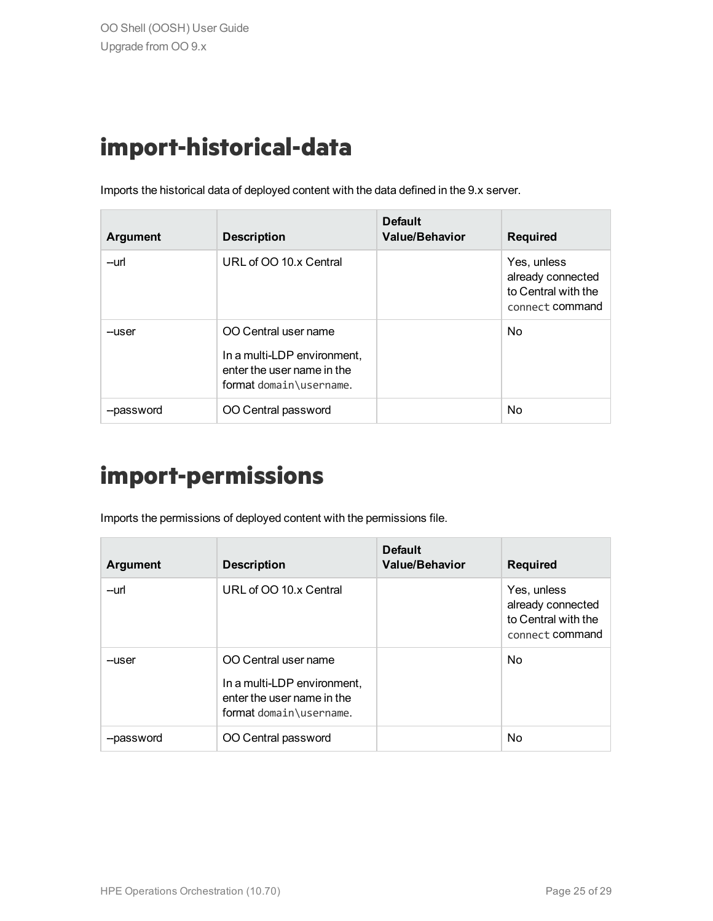### <span id="page-24-0"></span>**import-historical-data**

Imports the historical data of deployed content with the data defined in the 9.x server.

| <b>Argument</b> | <b>Description</b>                                                                                           | <b>Default</b><br><b>Value/Behavior</b> | <b>Required</b>                                                            |
|-----------------|--------------------------------------------------------------------------------------------------------------|-----------------------------------------|----------------------------------------------------------------------------|
| --url           | URL of OO 10.x Central                                                                                       |                                         | Yes, unless<br>already connected<br>to Central with the<br>connect command |
| --user          | OO Central user name<br>In a multi-LDP environment,<br>enter the user name in the<br>format domain\username. |                                         | <b>No</b>                                                                  |
| --password      | OO Central password                                                                                          |                                         | No                                                                         |

#### <span id="page-24-1"></span>**import-permissions**

Imports the permissions of deployed content with the permissions file.

| <b>Argument</b> | <b>Description</b>                                                                                           | <b>Default</b><br><b>Value/Behavior</b> | <b>Required</b>                                                            |
|-----------------|--------------------------------------------------------------------------------------------------------------|-----------------------------------------|----------------------------------------------------------------------------|
| --url           | URL of OO 10.x Central                                                                                       |                                         | Yes, unless<br>already connected<br>to Central with the<br>connect command |
| --user          | OO Central user name<br>In a multi-LDP environment,<br>enter the user name in the<br>format domain\username. |                                         | <b>No</b>                                                                  |
| --password      | OO Central password                                                                                          |                                         | No                                                                         |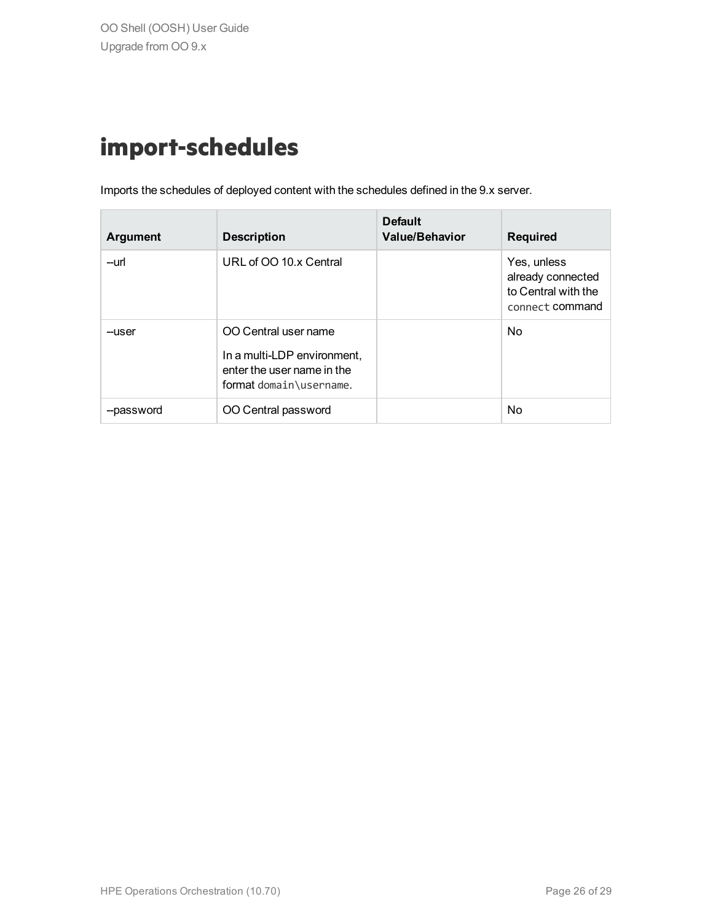### <span id="page-25-0"></span>**import-schedules**

Imports the schedules of deployed content with the schedules defined in the 9.x server.

| <b>Argument</b> | <b>Description</b>                                                                                           | <b>Default</b><br><b>Value/Behavior</b> | <b>Required</b>                                                            |
|-----------------|--------------------------------------------------------------------------------------------------------------|-----------------------------------------|----------------------------------------------------------------------------|
| --url           | URL of OO 10.x Central                                                                                       |                                         | Yes, unless<br>already connected<br>to Central with the<br>connect command |
| --user          | OO Central user name<br>In a multi-LDP environment,<br>enter the user name in the<br>format domain\username. |                                         | <b>No</b>                                                                  |
| --password      | OO Central password                                                                                          |                                         | No                                                                         |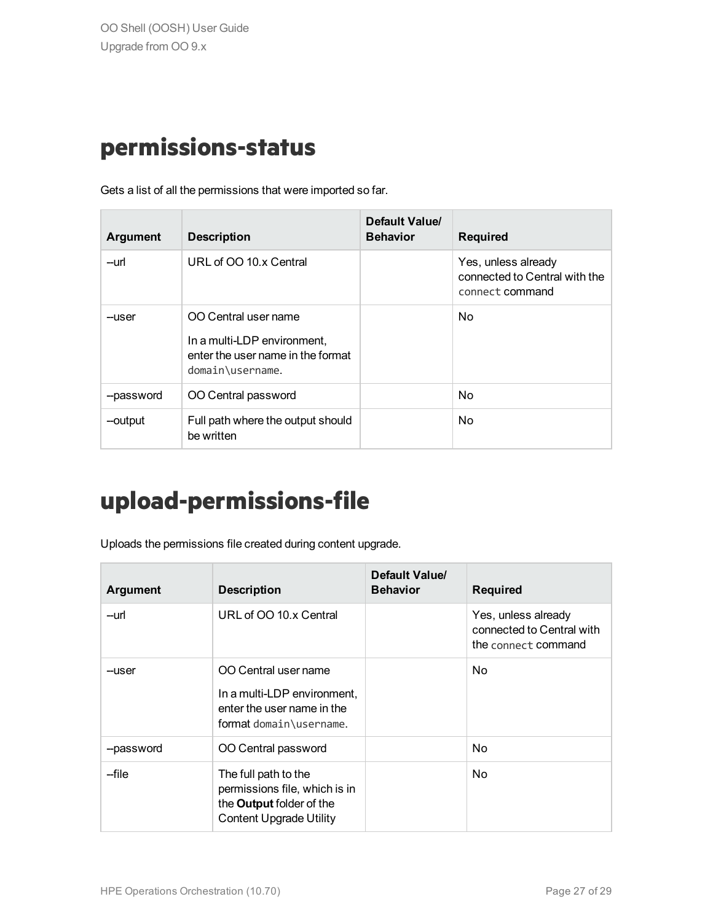#### <span id="page-26-0"></span>**permissions-status**

Gets a list of all the permissions that were imported so far.

| <b>Argument</b> | <b>Description</b>                                                                                           | Default Value/<br><b>Behavior</b> | <b>Required</b>                                                         |
|-----------------|--------------------------------------------------------------------------------------------------------------|-----------------------------------|-------------------------------------------------------------------------|
| --url           | URL of OO 10.x Central                                                                                       |                                   | Yes, unless already<br>connected to Central with the<br>connect command |
| --user          | OO Central user name<br>In a multi-LDP environment,<br>enter the user name in the format<br>domain\username. |                                   | No.                                                                     |
| --password      | OO Central password                                                                                          |                                   | <b>No</b>                                                               |
| --output        | Full path where the output should<br>be written                                                              |                                   | <b>No</b>                                                               |

### <span id="page-26-1"></span>**upload-permissions-file**

Uploads the permissions file created during content upgrade.

| <b>Argument</b> | <b>Description</b>                                                                                                         | Default Value/<br><b>Behavior</b> | <b>Required</b>                                                         |
|-----------------|----------------------------------------------------------------------------------------------------------------------------|-----------------------------------|-------------------------------------------------------------------------|
| --url           | URL of OO 10.x Central                                                                                                     |                                   | Yes, unless already<br>connected to Central with<br>the connect command |
| --user          | OO Central user name<br>In a multi-LDP environment,<br>enter the user name in the<br>format domain\username.               |                                   | No.                                                                     |
| --password      | OO Central password                                                                                                        |                                   | No.                                                                     |
| --file          | The full path to the<br>permissions file, which is in<br>the <b>Output</b> folder of the<br><b>Content Upgrade Utility</b> |                                   | N <sub>o</sub>                                                          |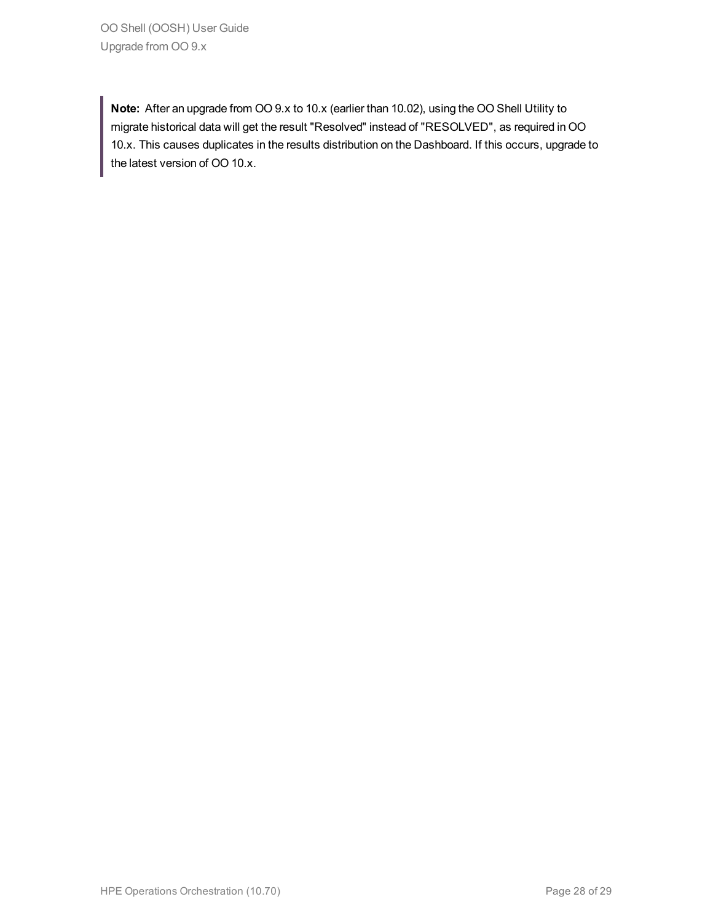OO Shell (OOSH) User Guide Upgrade from OO 9.x

**Note:** After an upgrade from OO 9.x to 10.x (earlier than 10.02), using the OO Shell Utility to migrate historical data will get the result "Resolved" instead of "RESOLVED", as required in OO 10.x. This causes duplicates in the results distribution on the Dashboard. If this occurs, upgrade to the latest version of OO 10.x.